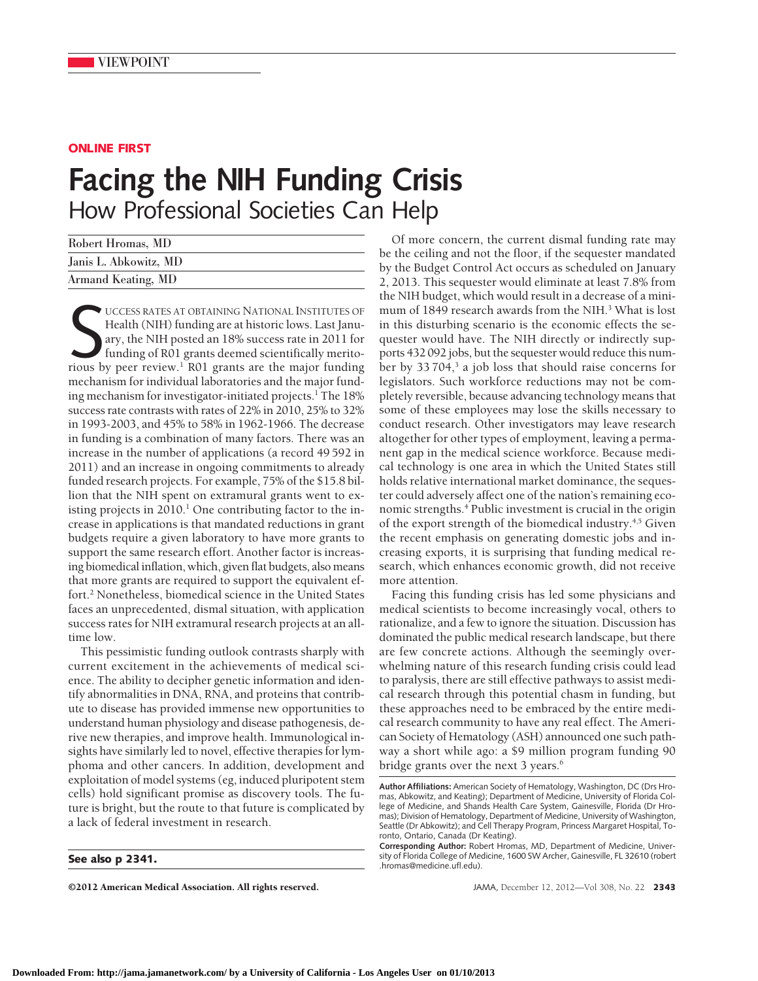## **ONLINE FIRST**

# **Facing the NIH Funding Crisis** How Professional Societies Can Help

| Robert Hromas, MD     |  |
|-----------------------|--|
| Janis L. Abkowitz, MD |  |
| Armand Keating, MD    |  |

UCCESS RATES AT OBTAINING NATIONAL INSTITUTES OF Health (NIH) funding are at historic lows. Last January, the NIH posted an 18% success rate in 2011 for funding of R01 grants deemed scientifically meritorious by peer revie UCCESS RATES AT OBTAINING NATIONAL INSTITUTES OF Health (NIH) funding are at historic lows. Last January, the NIH posted an 18% success rate in 2011 for funding of R01 grants deemed scientifically meritomechanism for individual laboratories and the major funding mechanism for investigator-initiated projects.<sup>1</sup> The 18% success rate contrasts with rates of 22% in 2010, 25% to 32% in 1993-2003, and 45% to 58% in 1962-1966. The decrease in funding is a combination of many factors. There was an increase in the number of applications (a record 49 592 in 2011) and an increase in ongoing commitments to already funded research projects. For example, 75% of the \$15.8 billion that the NIH spent on extramural grants went to existing projects in 2010.<sup>1</sup> One contributing factor to the increase in applications is that mandated reductions in grant budgets require a given laboratory to have more grants to support the same research effort. Another factor is increasing biomedical inflation, which, given flat budgets, also means that more grants are required to support the equivalent effort.2 Nonetheless, biomedical science in the United States faces an unprecedented, dismal situation, with application success rates for NIH extramural research projects at an alltime low.

This pessimistic funding outlook contrasts sharply with current excitement in the achievements of medical science. The ability to decipher genetic information and identify abnormalities in DNA, RNA, and proteins that contribute to disease has provided immense new opportunities to understand human physiology and disease pathogenesis, derive new therapies, and improve health. Immunological insights have similarly led to novel, effective therapies for lymphoma and other cancers. In addition, development and exploitation of model systems (eg, induced pluripotent stem cells) hold significant promise as discovery tools. The future is bright, but the route to that future is complicated by a lack of federal investment in research.

#### **See also p 2341.**

©2012 American Medical Association. All rights reserved. JAMA, December 12, 2012—Vol 308, No. 22 **2343**

Of more concern, the current dismal funding rate may be the ceiling and not the floor, if the sequester mandated by the Budget Control Act occurs as scheduled on January 2, 2013. This sequester would eliminate at least 7.8% from the NIH budget, which would result in a decrease of a minimum of 1849 research awards from the NIH.<sup>3</sup> What is lost in this disturbing scenario is the economic effects the sequester would have. The NIH directly or indirectly supports 432 092 jobs, but the sequester would reduce this number by 33 704,<sup>3</sup> a job loss that should raise concerns for legislators. Such workforce reductions may not be completely reversible, because advancing technology means that some of these employees may lose the skills necessary to conduct research. Other investigators may leave research altogether for other types of employment, leaving a permanent gap in the medical science workforce. Because medical technology is one area in which the United States still holds relative international market dominance, the sequester could adversely affect one of the nation's remaining economic strengths.<sup>4</sup> Public investment is crucial in the origin of the export strength of the biomedical industry.<sup>4,5</sup> Given the recent emphasis on generating domestic jobs and increasing exports, it is surprising that funding medical research, which enhances economic growth, did not receive more attention.

Facing this funding crisis has led some physicians and medical scientists to become increasingly vocal, others to rationalize, and a few to ignore the situation. Discussion has dominated the public medical research landscape, but there are few concrete actions. Although the seemingly overwhelming nature of this research funding crisis could lead to paralysis, there are still effective pathways to assist medical research through this potential chasm in funding, but these approaches need to be embraced by the entire medical research community to have any real effect. The American Society of Hematology (ASH) announced one such pathway a short while ago: a \$9 million program funding 90 bridge grants over the next 3 years.<sup>6</sup>

**Author Affiliations:** American Society of Hematology, Washington, DC (Drs Hromas, Abkowitz, and Keating); Department of Medicine, University of Florida College of Medicine, and Shands Health Care System, Gainesville, Florida (Dr Hromas); Division of Hematology, Department of Medicine, University of Washington, Seattle (Dr Abkowitz); and Cell Therapy Program, Princess Margaret Hospital, Toronto, Ontario, Canada (Dr Keating).

**Corresponding Author:** Robert Hromas, MD, Department of Medicine, University of Florida College of Medicine, 1600 SW Archer, Gainesville, FL 32610 (robert .hromas@medicine.ufl.edu).